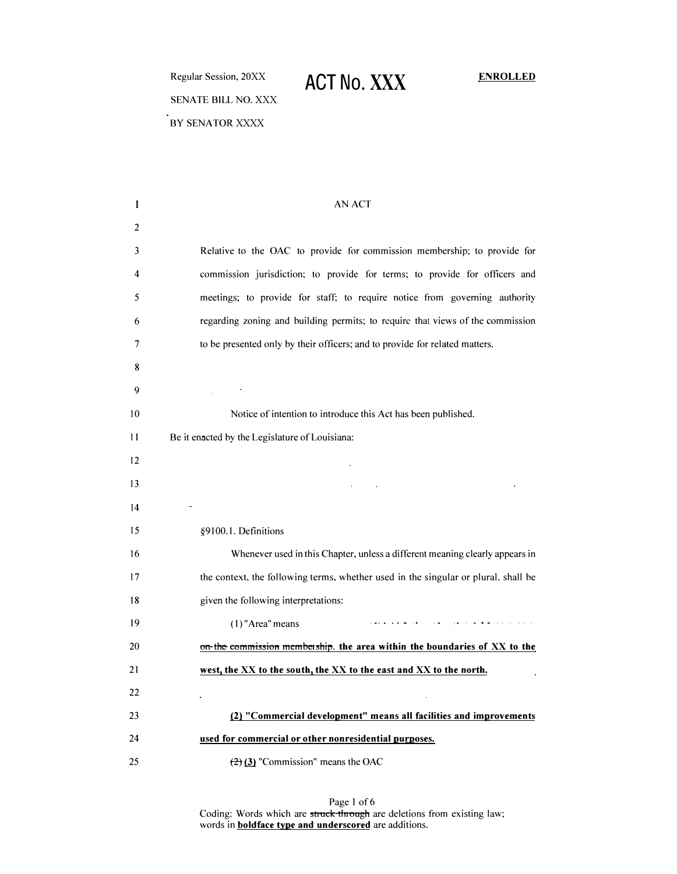Regular Session, 20XX SENATE BILL NO. XXX BY SENATOR XXXX

# **ACT No. XXX ENROLLED**

| 1  | AN ACT                                                                             |
|----|------------------------------------------------------------------------------------|
| 2  |                                                                                    |
| 3  | Relative to the OAC to provide for commission membership; to provide for           |
| 4  | commission jurisdiction; to provide for terms; to provide for officers and         |
| 5  | meetings; to provide for staff; to require notice from governing authority         |
| 6  | regarding zoning and building permits; to require that views of the commission     |
| 7  | to be presented only by their officers; and to provide for related matters.        |
| 8  |                                                                                    |
| 9  | <b>Contract Contract</b>                                                           |
| 10 | Notice of intention to introduce this Act has been published.                      |
| 11 | Be it enacted by the Legislature of Louisiana:                                     |
| 12 |                                                                                    |
| 13 |                                                                                    |
| 14 |                                                                                    |
| 15 | §9100.1. Definitions                                                               |
| 16 | Whenever used in this Chapter, unless a different meaning clearly appears in       |
| 17 | the context, the following terms, whether used in the singular or plural, shall be |
| 18 | given the following interpretations:                                               |
| 19 | المتابعة والمتعاطيط والمعاري المتعارية فالمحافظ والمتعملة<br>$(1)$ "Area" means    |
| 20 | on the commission membership, the area within the boundaries of XX to the          |
| 21 | west, the XX to the south, the XX to the east and XX to the north.                 |
| 22 |                                                                                    |
| 23 | (2) "Commercial development" means all facilities and improvements                 |
| 24 | used for commercial or other nonresidential purposes.                              |
| 25 | $(2)$ (3) "Commission" means the OAC                                               |

Page 1 of 6 Coding: Words which are struck through are deletions from existing law; words in **boldface type and underscored** are additions.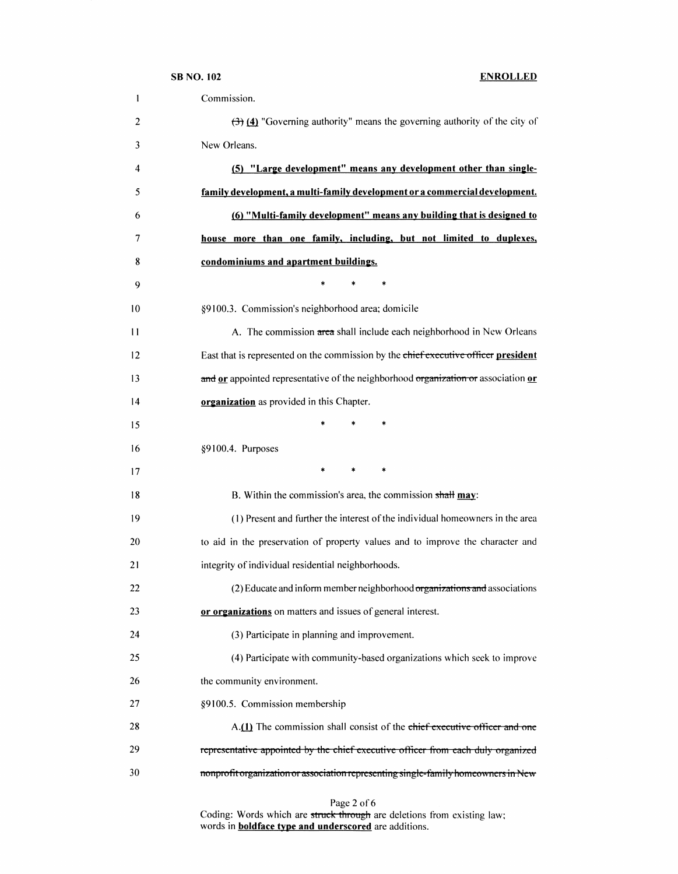|         | <b>SB NO. 102</b><br><b>ENROLLED</b>                                                              |  |
|---------|---------------------------------------------------------------------------------------------------|--|
| 1       | Commission.                                                                                       |  |
| 2       | $\left(\frac{1}{2}\right)$ (4) "Governing authority" means the governing authority of the city of |  |
| 3       | New Orleans.                                                                                      |  |
| 4       | (5) "Large development" means any development other than single-                                  |  |
| 5       | family development, a multi-family development or a commercial development.                       |  |
| 6       | (6) "Multi-family development" means any building that is designed to                             |  |
| 7       | house more than one family, including, but not limited to duplexes,                               |  |
| 8       | condominiums and apartment buildings.                                                             |  |
| 9       | $\ast$                                                                                            |  |
| 10      | §9100.3. Commission's neighborhood area; domicile                                                 |  |
| 11      | A. The commission area shall include each neighborhood in New Orleans                             |  |
| $12 \,$ | East that is represented on the commission by the chief executive officer president               |  |
| 13      | and or appointed representative of the neighborhood organization or association or                |  |
| 14      | organization as provided in this Chapter.                                                         |  |
| 15      | $\ast$                                                                                            |  |
| 16      | §9100.4. Purposes                                                                                 |  |
| 17      | *<br>*                                                                                            |  |
| 18      | B. Within the commission's area, the commission shall may:                                        |  |
| 19      | (1) Present and further the interest of the individual homeowners in the area                     |  |
| 20      | to aid in the preservation of property values and to improve the character and                    |  |
| 21      | integrity of individual residential neighborhoods.                                                |  |
| 22      | (2) Educate and inform member neighborhood organizations and associations                         |  |
| 23      | or organizations on matters and issues of general interest.                                       |  |
| 24      | (3) Participate in planning and improvement.                                                      |  |
| 25      | (4) Participate with community-based organizations which seek to improve                          |  |
| 26      | the community environment.                                                                        |  |
| 27      | §9100.5. Commission membership                                                                    |  |
| 28      | A.(1) The commission shall consist of the chief executive officer and one                         |  |
| 29      | representative appointed by the chief executive officer from each duly organized                  |  |
| 30      | nonprofit organization or association representing single-family homeowners in New                |  |
|         | Page 2 of 6                                                                                       |  |

Coding: Words which are struck through are deletions from existing law; words in **boldface type and underscored** are additions.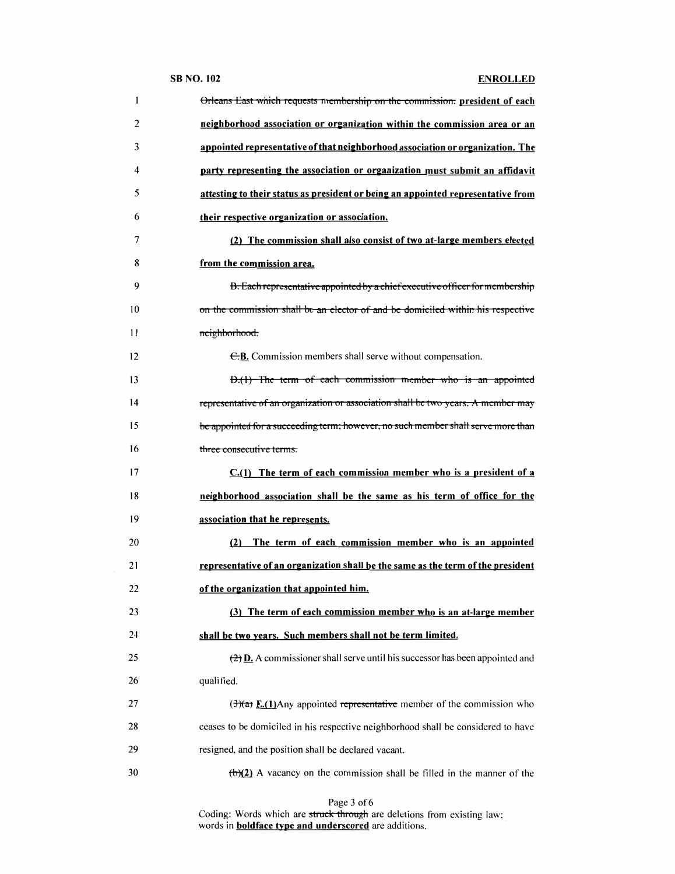|    | <b>SB NO. 102</b><br><b>ENROLLED</b>                                                                |
|----|-----------------------------------------------------------------------------------------------------|
| 1  | Orleans East which requests membership on the commission. president of each                         |
| 2  | neighborhood association or organization within the commission area or an                           |
| 3  | appointed representative of that neighborhood association or organization. The                      |
| 4  | party representing the association or organization must submit an affidavit                         |
| 5  | attesting to their status as president or being an appointed representative from                    |
| 6  | their respective organization or association.                                                       |
| 7  | (2) The commission shall also consist of two at-large members elected                               |
| 8  | from the commission area.                                                                           |
| 9  | B. Each representative appointed by a chief executive officer for membership                        |
| 10 | on the commission shall be an elector of and be domiciled within his respective                     |
| 11 | neighborhood.                                                                                       |
| 12 | E.B. Commission members shall serve without compensation.                                           |
| 13 | D.(1) The term of each commission member who is an appointed                                        |
| 14 | representative of an organization or association shall be two years. A member may                   |
| 15 | be appointed for a succeeding term; however, no such member shall serve more than                   |
| 16 | three consecutive terms.                                                                            |
| 17 | $C.(1)$ The term of each commission member who is a president of a                                  |
| 18 | neighborhood association shall be the same as his term of office for the                            |
| 19 | association that he represents.                                                                     |
| 20 | (2) The term of each commission member who is an appointed                                          |
| 21 | representative of an organization shall be the same as the term of the president                    |
| 22 | of the organization that appointed him.                                                             |
| 23 | (3) The term of each commission member who is an at-large member                                    |
| 24 | shall be two years. Such members shall not be term limited.                                         |
| 25 | $\left(\frac{2}{2}\right)$ D. A commissioner shall serve until his successor has been appointed and |
| 26 | qualified.                                                                                          |
| 27 | $\left(\frac{3}{2}\right)$ E.(1)Any appointed representative member of the commission who           |
| 28 | ceases to be domiciled in his respective neighborhood shall be considered to have                   |
| 29 | resigned, and the position shall be declared vacant.                                                |
| 30 | $\left(\frac{b}{2}\right)$ A vacancy on the commission shall be filled in the manner of the         |

Page 3 of 6

Coding: Words which are <del>struck through</del> are deletions from existing law; words in **boldface type and underscored** are additions.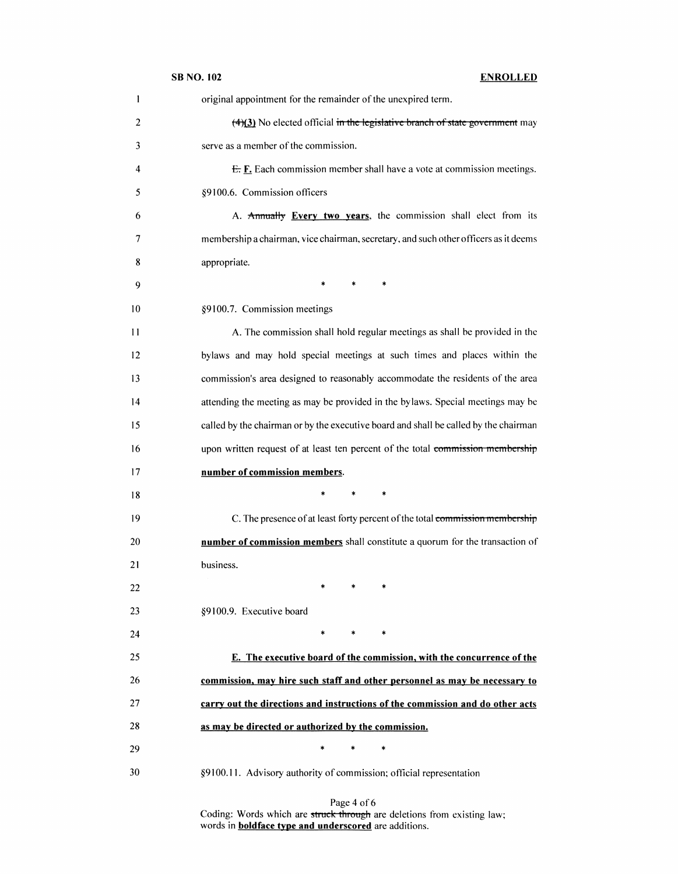|    | <b>SB NO. 102</b><br><b>ENROLLED</b>                                                             |
|----|--------------------------------------------------------------------------------------------------|
| 1  | original appointment for the remainder of the unexpired term.                                    |
| 2  | $\left(\frac{4}{3}\right)$ No elected official in the legislative branch of state government may |
| 3  | serve as a member of the commission.                                                             |
| 4  | $E$ . $E$ . Each commission member shall have a vote at commission meetings.                     |
| 5  | §9100.6. Commission officers                                                                     |
| 6  | A. Annually Every two years, the commission shall elect from its                                 |
| 7  | membership a chairman, vice chairman, secretary, and such other officers as it deems             |
| 8  | appropriate.                                                                                     |
| 9  | $\ast$<br>$\ast$<br>*                                                                            |
| 10 | §9100.7. Commission meetings                                                                     |
| 11 | A. The commission shall hold regular meetings as shall be provided in the                        |
| 12 | bylaws and may hold special meetings at such times and places within the                         |
| 13 | commission's area designed to reasonably accommodate the residents of the area                   |
| 14 | attending the meeting as may be provided in the bylaws. Special meetings may be                  |
| 15 | called by the chairman or by the executive board and shall be called by the chairman             |
| 16 | upon written request of at least ten percent of the total commission membership                  |
| 17 | number of commission members.                                                                    |
| 18 | $\ast$<br>*                                                                                      |
| 19 | C. The presence of at least forty percent of the total commission membership                     |
| 20 | number of commission members shall constitute a quorum for the transaction of                    |
| 21 | business.                                                                                        |
| 22 |                                                                                                  |
| 23 | §9100.9. Executive board                                                                         |
| 24 | $\ast$<br>*                                                                                      |
| 25 | E. The executive board of the commission, with the concurrence of the                            |
| 26 | commission, may hire such staff and other personnel as may be necessary to                       |
| 27 | carry out the directions and instructions of the commission and do other acts                    |
| 28 | as may be directed or authorized by the commission.                                              |
| 29 | $\ast$<br>$\ast$                                                                                 |
| 30 | §9100.11. Advisory authority of commission; official representation                              |

Page 4 of 6 Coding: Words which are struck through are deletions from existing law; words in **boldface type and underscored** are additions.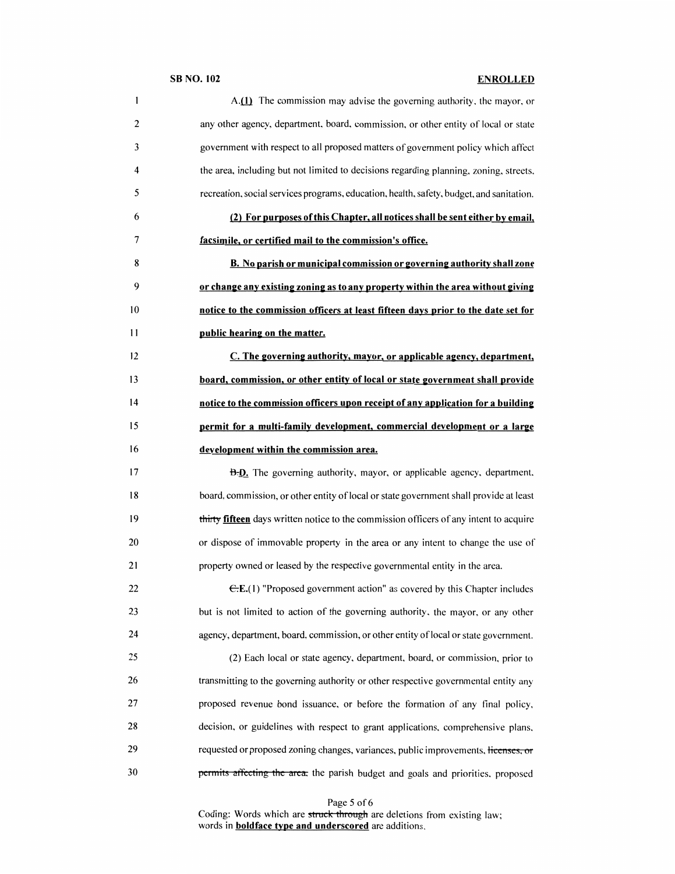## SB NO. 102 ENROLLED

| 1  | A.(1) The commission may advise the governing authority, the mayor, or                   |
|----|------------------------------------------------------------------------------------------|
| 2  | any other agency, department, board, commission, or other entity of local or state       |
| 3  | government with respect to all proposed matters of government policy which affect        |
| 4  | the area, including but not limited to decisions regarding planning, zoning, streets,    |
| 5  | recreation, social services programs, education, health, safety, budget, and sanitation. |
| 6  | (2) For purposes of this Chapter, all notices shall be sent either by email,             |
| 7  | facsimile, or certified mail to the commission's office.                                 |
| 8  | B. No parish or municipal commission or governing authority shall zone                   |
| 9  | or change any existing zoning as to any property within the area without giving          |
| 10 | notice to the commission officers at least fifteen days prior to the date set for        |
| 11 | public hearing on the matter.                                                            |
| 12 | C. The governing authority, mayor, or applicable agency, department,                     |
| 13 | board, commission, or other entity of local or state government shall provide            |
| 14 | notice to the commission officers upon receipt of any application for a building         |
| 15 | permit for a multi-family development, commercial development or a large                 |
| 16 | development within the commission area.                                                  |
| 17 | <b>B.D.</b> The governing authority, mayor, or applicable agency, department.            |
| 18 | board, commission, or other entity of local or state government shall provide at least   |
| 19 | thirty fifteen days written notice to the commission officers of any intent to acquire   |
| 20 | or dispose of immovable property in the area or any intent to change the use of          |
| 21 | property owned or leased by the respective governmental entity in the area.              |
| 22 | $E.E.(1)$ "Proposed government action" as covered by this Chapter includes               |
| 23 | but is not limited to action of the governing authority, the mayor, or any other         |
| 24 | agency, department, board, commission, or other entity of local or state government.     |
| 25 | (2) Each local or state agency, department, board, or commission, prior to               |
| 26 | transmitting to the governing authority or other respective governmental entity any      |
| 27 | proposed revenue bond issuance, or before the formation of any final policy,             |
| 28 | decision, or guidelines with respect to grant applications, comprehensive plans,         |
| 29 | requested or proposed zoning changes, variances, public improvements, licenses, or       |
| 30 | permits affecting the area, the parish budget and goals and priorities, proposed         |

Page 5 of 6

Coding: Words which are <del>struck through</del> are deletions from existing law; words in **boldface type and underscored** are additions.